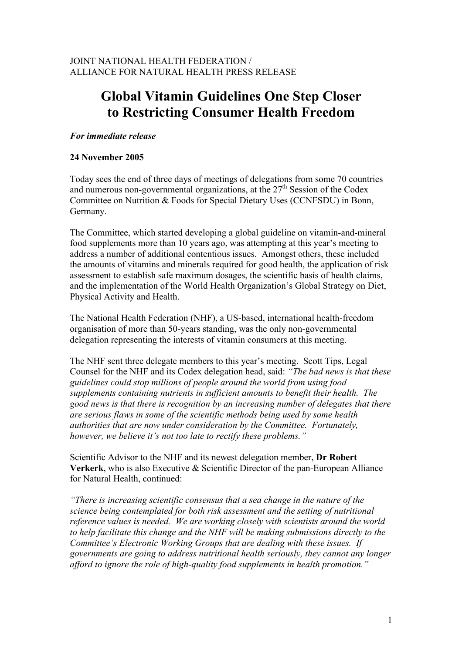# **Global Vitamin Guidelines One Step Closer to Restricting Consumer Health Freedom**

## *For immediate release*

## **24 November 2005**

Today sees the end of three days of meetings of delegations from some 70 countries and numerous non-governmental organizations, at the  $27<sup>th</sup>$  Session of the Codex Committee on Nutrition & Foods for Special Dietary Uses (CCNFSDU) in Bonn, Germany.

The Committee, which started developing a global guideline on vitamin-and-mineral food supplements more than 10 years ago, was attempting at this year's meeting to address a number of additional contentious issues. Amongst others, these included the amounts of vitamins and minerals required for good health, the application of risk assessment to establish safe maximum dosages, the scientific basis of health claims, and the implementation of the World Health Organization's Global Strategy on Diet, Physical Activity and Health.

The National Health Federation (NHF), a US-based, international health-freedom organisation of more than 50-years standing, was the only non-governmental delegation representing the interests of vitamin consumers at this meeting.

The NHF sent three delegate members to this year's meeting. Scott Tips, Legal Counsel for the NHF and its Codex delegation head, said: *"The bad news is that these guidelines could stop millions of people around the world from using food supplements containing nutrients in sufficient amounts to benefit their health. The good news is that there is recognition by an increasing number of delegates that there are serious flaws in some of the scientific methods being used by some health authorities that are now under consideration by the Committee. Fortunately, however, we believe it's not too late to rectify these problems."*

Scientific Advisor to the NHF and its newest delegation member, **Dr Robert Verkerk**, who is also Executive & Scientific Director of the pan-European Alliance for Natural Health, continued:

*"There is increasing scientific consensus that a sea change in the nature of the science being contemplated for both risk assessment and the setting of nutritional reference values is needed. We are working closely with scientists around the world to help facilitate this change and the NHF will be making submissions directly to the Committee's Electronic Working Groups that are dealing with these issues. If governments are going to address nutritional health seriously, they cannot any longer afford to ignore the role of high-quality food supplements in health promotion."*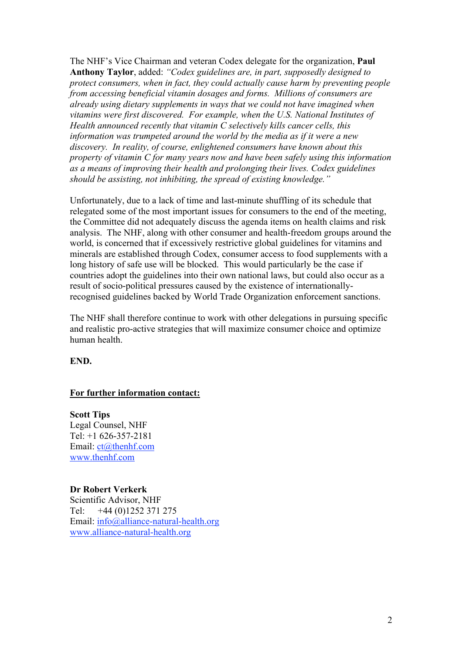The NHF's Vice Chairman and veteran Codex delegate for the organization, **Paul Anthony Taylor**, added: *"Codex guidelines are, in part, supposedly designed to protect consumers, when in fact, they could actually cause harm by preventing people from accessing beneficial vitamin dosages and forms. Millions of consumers are already using dietary supplements in ways that we could not have imagined when vitamins were first discovered. For example, when the U.S. National Institutes of Health announced recently that vitamin C selectively kills cancer cells, this information was trumpeted around the world by the media as if it were a new discovery. In reality, of course, enlightened consumers have known about this property of vitamin C for many years now and have been safely using this information as a means of improving their health and prolonging their lives. Codex guidelines should be assisting, not inhibiting, the spread of existing knowledge."* 

Unfortunately, due to a lack of time and last-minute shuffling of its schedule that relegated some of the most important issues for consumers to the end of the meeting, the Committee did not adequately discuss the agenda items on health claims and risk analysis. The NHF, along with other consumer and health-freedom groups around the world, is concerned that if excessively restrictive global guidelines for vitamins and minerals are established through Codex, consumer access to food supplements with a long history of safe use will be blocked. This would particularly be the case if countries adopt the guidelines into their own national laws, but could also occur as a result of socio-political pressures caused by the existence of internationallyrecognised guidelines backed by World Trade Organization enforcement sanctions.

The NHF shall therefore continue to work with other delegations in pursuing specific and realistic pro-active strategies that will maximize consumer choice and optimize human health.

**END.**

#### **For further information contact:**

**Scott Tips** Legal Counsel, NHF Tel: +1 626-357-2181 Email: ct@thenhf.com www.thenhf.com

**Dr Robert Verkerk** Scientific Advisor, NHF Tel: +44 (0)1252 371 275 Email: info@alliance-natural-health.org www.alliance-natural-health.org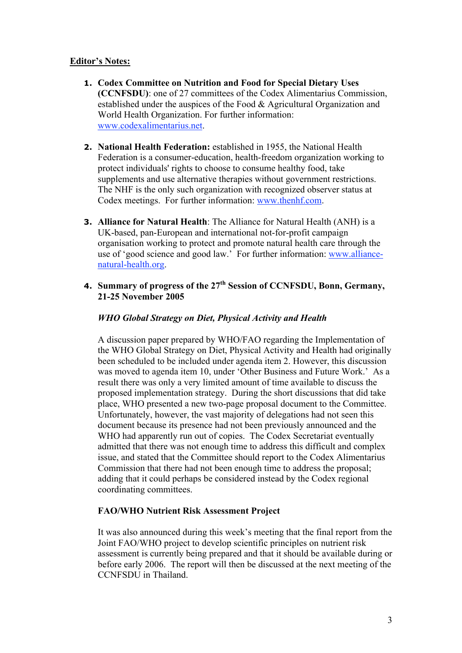## **Editor's Notes:**

- **1. Codex Committee on Nutrition and Food for Special Dietary Uses (CCNFSDU)**: one of 27 committees of the Codex Alimentarius Commission, established under the auspices of the Food & Agricultural Organization and World Health Organization. For further information: www.codexalimentarius.net.
- **2. National Health Federation:** established in 1955, the National Health Federation is a consumer-education, health-freedom organization working to protect individuals' rights to choose to consume healthy food, take supplements and use alternative therapies without government restrictions. The NHF is the only such organization with recognized observer status at Codex meetings. For further information: www.thenhf.com.
- **3. Alliance for Natural Health**: The Alliance for Natural Health (ANH) is a UK-based, pan-European and international not-for-profit campaign organisation working to protect and promote natural health care through the use of 'good science and good law.' For further information: www.alliancenatural-health.org.
- **4. Summary of progress of the 27<sup>th</sup> Session of CCNFSDU, Bonn, Germany, 21-25 November 2005**

## *WHO Global Strategy on Diet, Physical Activity and Health*

A discussion paper prepared by WHO/FAO regarding the Implementation of the WHO Global Strategy on Diet, Physical Activity and Health had originally been scheduled to be included under agenda item 2. However, this discussion was moved to agenda item 10, under 'Other Business and Future Work.' As a result there was only a very limited amount of time available to discuss the proposed implementation strategy. During the short discussions that did take place, WHO presented a new two-page proposal document to the Committee. Unfortunately, however, the vast majority of delegations had not seen this document because its presence had not been previously announced and the WHO had apparently run out of copies. The Codex Secretariat eventually admitted that there was not enough time to address this difficult and complex issue, and stated that the Committee should report to the Codex Alimentarius Commission that there had not been enough time to address the proposal; adding that it could perhaps be considered instead by the Codex regional coordinating committees.

#### **FAO/WHO Nutrient Risk Assessment Project**

It was also announced during this week's meeting that the final report from the Joint FAO/WHO project to develop scientific principles on nutrient risk assessment is currently being prepared and that it should be available during or before early 2006. The report will then be discussed at the next meeting of the CCNFSDU in Thailand.